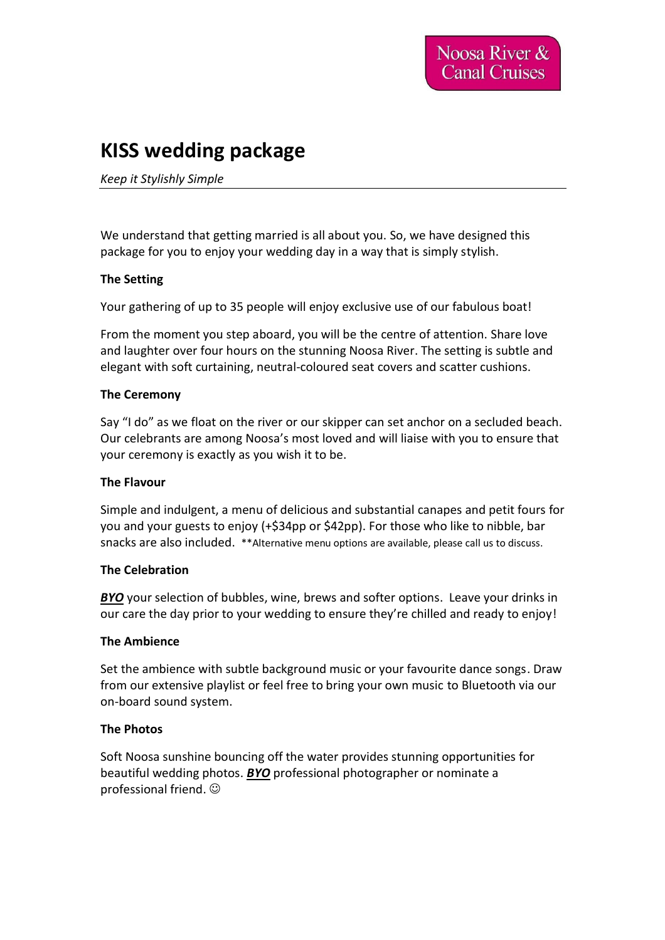# **KISS wedding package**

#### *Keep it Stylishly Simple*

We understand that getting married is all about you. So, we have designed this package for you to enjoy your wedding day in a way that is simply stylish.

#### **The Setting**

Your gathering of up to 35 people will enjoy exclusive use of our fabulous boat!

From the moment you step aboard, you will be the centre of attention. Share love and laughter over four hours on the stunning Noosa River. The setting is subtle and elegant with soft curtaining, neutral-coloured seat covers and scatter cushions.

#### **The Ceremony**

Say "I do" as we float on the river or our skipper can set anchor on a secluded beach. Our celebrants are among Noosa's most loved and will liaise with you to ensure that your ceremony is exactly as you wish it to be.

#### **The Flavour**

Simple and indulgent, a menu of delicious and substantial canapes and petit fours for you and your guests to enjoy (+\$34pp or \$42pp). For those who like to nibble, bar snacks are also included. \*\*Alternative menu options are available, please call us to discuss.

#### **The Celebration**

*BYO* your selection of bubbles, wine, brews and softer options. Leave your drinks in our care the day prior to your wedding to ensure they're chilled and ready to enjoy!

#### **The Ambience**

Set the ambience with subtle background music or your favourite dance songs. Draw from our extensive playlist or feel free to bring your own music to Bluetooth via our on-board sound system.

#### **The Photos**

Soft Noosa sunshine bouncing off the water provides stunning opportunities for beautiful wedding photos. *BYO* professional photographer or nominate a professional friend. ☺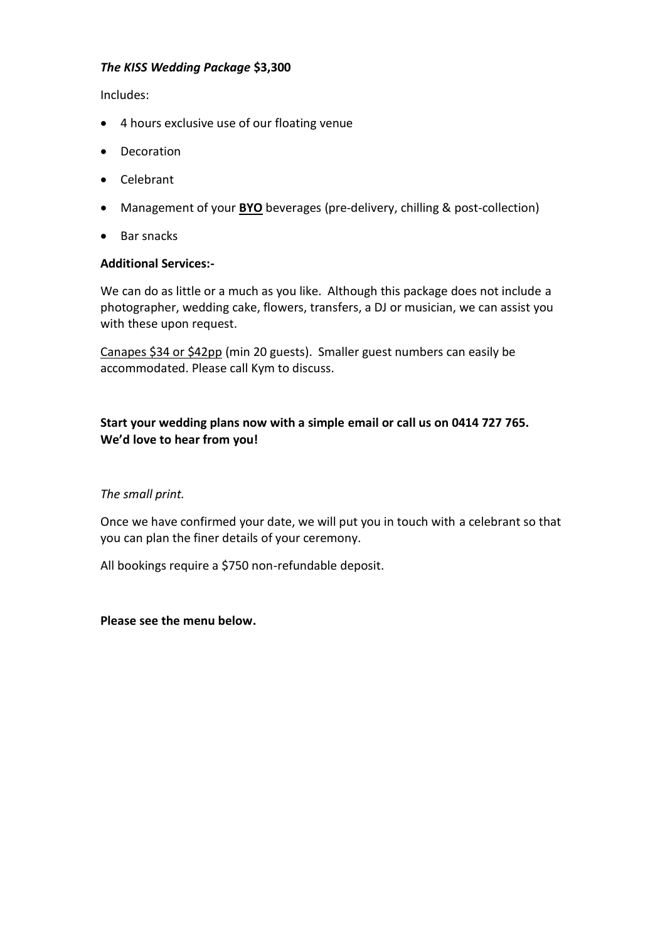#### *The KISS Wedding Package* **\$3,300**

Includes:

- 4 hours exclusive use of our floating venue
- Decoration
- Celebrant
- Management of your **BYO** beverages (pre-delivery, chilling & post-collection)
- Bar snacks

#### **Additional Services:-**

We can do as little or a much as you like. Although this package does not include a photographer, wedding cake, flowers, transfers, a DJ or musician, we can assist you with these upon request.

Canapes \$34 or \$42pp (min 20 guests). Smaller guest numbers can easily be accommodated. Please call Kym to discuss.

## **Start your wedding plans now with a simple email or call us on 0414 727 765. We'd love to hear from you!**

### *The small print.*

Once we have confirmed your date, we will put you in touch with a celebrant so that you can plan the finer details of your ceremony.

All bookings require a \$750 non-refundable deposit.

#### **Please see the menu below.**